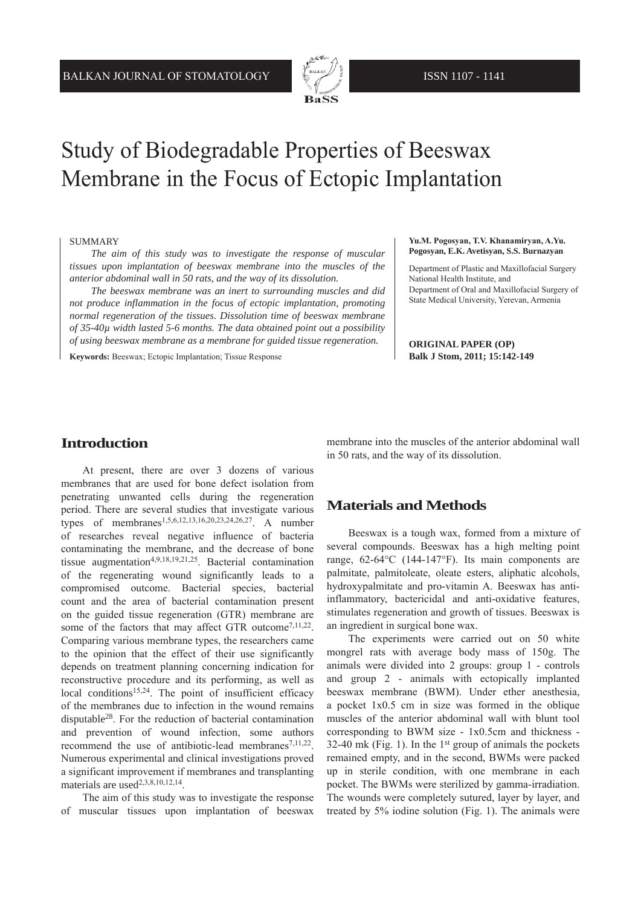

# Study of Biodegradable Properties of Beeswax Membrane in the Focus of Ectopic Implantation

#### SUMMARY

*The aim of this study was to investigate the response of muscular tissues upon implantation of beeswax membrane into the muscles of the anterior abdominal wall in 50 rats, and the way of its dissolution.* 

*The beeswax membrane was an inert to surrounding muscles and did not produce inflammation in the focus of ectopic implantation, promoting normal regeneration of the tissues. Dissolution time of beeswax membrane of 35-40µ width lasted 5-6 months. The data obtained point out a possibility of using beeswax membrane as a membrane for guided tissue regeneration.*

**Keywords:** Beeswax; Ectopic Implantation; Tissue Response

#### **Yu.M. Pogosyan, T.V. Khanamiryan, A.Yu. Pogosyan, E.K. Avetisyan, S.S. Burnazyan**

Department of Plastic and Maxillofacial Surgery National Health Institute, and Department of Oral and Maxillofacial Surgery of State Medical University, Yerevan, Armenia

**ORIGINAL PAPER (OP) Balk J Stom, 2011; 15:142-149**

#### **Introduction**

At present, there are over 3 dozens of various membranes that are used for bone defect isolation from penetrating unwanted cells during the regeneration period. There are several studies that investigate various types of membranes1,5,6,12,13,16,20,23,24,26,27. A number of researches reveal negative influence of bacteria contaminating the membrane, and the decrease of bone tissue augmentation<sup>4,9,18,19,21,25</sup>. Bacterial contamination of the regenerating wound significantly leads to a compromised outcome. Bacterial species, bacterial count and the area of bacterial contamination present on the guided tissue regeneration (GTR) membrane are some of the factors that may affect GTR outcome<sup>7,11,22</sup>. Comparing various membrane types, the researchers came to the opinion that the effect of their use significantly depends on treatment planning concerning indication for reconstructive procedure and its performing, as well as local conditions<sup>15,24</sup>. The point of insufficient efficacy of the membranes due to infection in the wound remains disputable28. For the reduction of bacterial contamination and prevention of wound infection, some authors recommend the use of antibiotic-lead membranes $7,11,22$ . Numerous experimental and clinical investigations proved a significant improvement if membranes and transplanting materials are used<sup>2,3,8,10,12,14</sup>.

The aim of this study was to investigate the response of muscular tissues upon implantation of beeswax

membrane into the muscles of the anterior abdominal wall in 50 rats, and the way of its dissolution.

### **Materials and Methods**

Beeswax is a tough wax, formed from a mixture of several compounds. Beeswax has a high melting point range, 62-64°C (144-147°F). Its main components are palmitate, palmitoleate, oleate esters, aliphatic alcohols, hydroxypalmitate and pro-vitamin A. Beeswax has antiinflammatory, bactericidal and anti-oxidative features, stimulates regeneration and growth of tissues. Beeswax is an ingredient in surgical bone wax.

The experiments were carried out on 50 white mongrel rats with average body mass of 150g. The animals were divided into 2 groups: group 1 - controls and group 2 - animals with ectopically implanted beeswax membrane (BWM). Under ether anesthesia, a pocket 1x0.5 cm in size was formed in the oblique muscles of the anterior abdominal wall with blunt tool corresponding to BWM size - 1x0.5cm and thickness - 32-40 mk (Fig. 1). In the  $1<sup>st</sup>$  group of animals the pockets remained empty, and in the second, BWMs were packed up in sterile condition, with one membrane in each pocket. The BWMs were sterilized by gamma-irradiation. The wounds were completely sutured, layer by layer, and treated by 5% iodine solution (Fig. 1). The animals were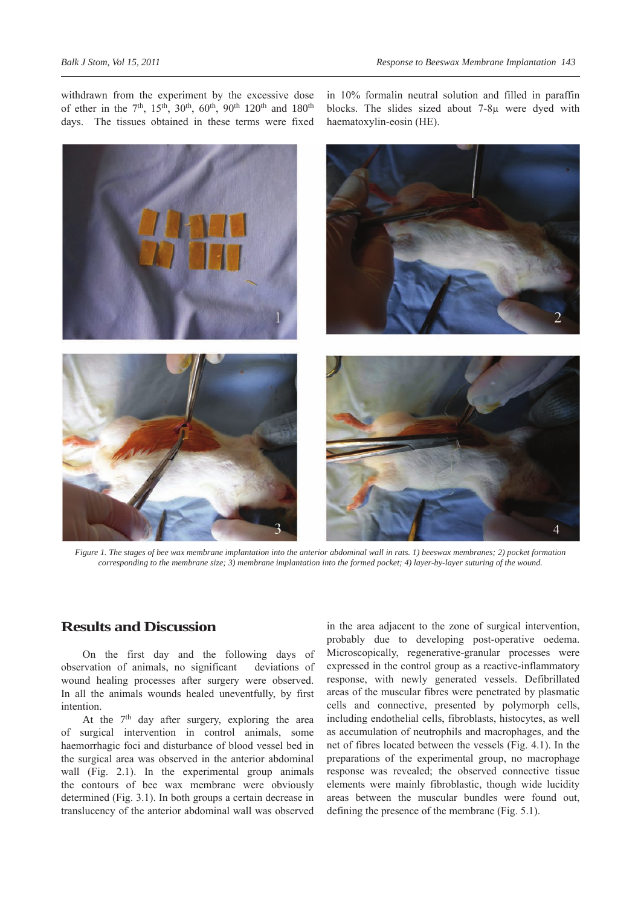withdrawn from the experiment by the excessive dose of ether in the 7<sup>th</sup>, 15<sup>th</sup>, 30<sup>th</sup>, 60<sup>th</sup>, 90<sup>th</sup> 120<sup>th</sup> and 180<sup>th</sup> days. The tissues obtained in these terms were fixed

in 10% formalin neutral solution and filled in paraffin blocks. The slides sized about 7-8µ were dyed with haematoxylin-eosin (HE).



*Figure 1. The stages of bee wax membrane implantation into the anterior abdominal wall in rats. 1) beeswax membranes; 2) pocket formation corresponding to the membrane size; 3) membrane implantation into the formed pocket; 4) layer-by-layer suturing of the wound.*

#### **Results and Discussion**

On the first day and the following days of observation of animals, no significant deviations of wound healing processes after surgery were observed. In all the animals wounds healed uneventfully, by first intention.

At the  $7<sup>th</sup>$  day after surgery, exploring the area of surgical intervention in control animals, some haemorrhagic foci and disturbance of blood vessel bed in the surgical area was observed in the anterior abdominal wall (Fig. 2.1). In the experimental group animals the contours of bee wax membrane were obviously determined (Fig. 3.1). In both groups a certain decrease in translucency of the anterior abdominal wall was observed

in the area adjacent to the zone of surgical intervention, probably due to developing post-operative oedema. Microscopically, regenerative-granular processes were expressed in the control group as a reactive-inflammatory response, with newly generated vessels. Defibrillated areas of the muscular fibres were penetrated by plasmatic cells and connective, presented by polymorph cells, including endothelial cells, fibroblasts, histocytes, as well as accumulation of neutrophils and macrophages, and the net of fibres located between the vessels (Fig. 4.1). In the preparations of the experimental group, no macrophage response was revealed; the observed connective tissue elements were mainly fibroblastic, though wide lucidity areas between the muscular bundles were found out, defining the presence of the membrane (Fig. 5.1).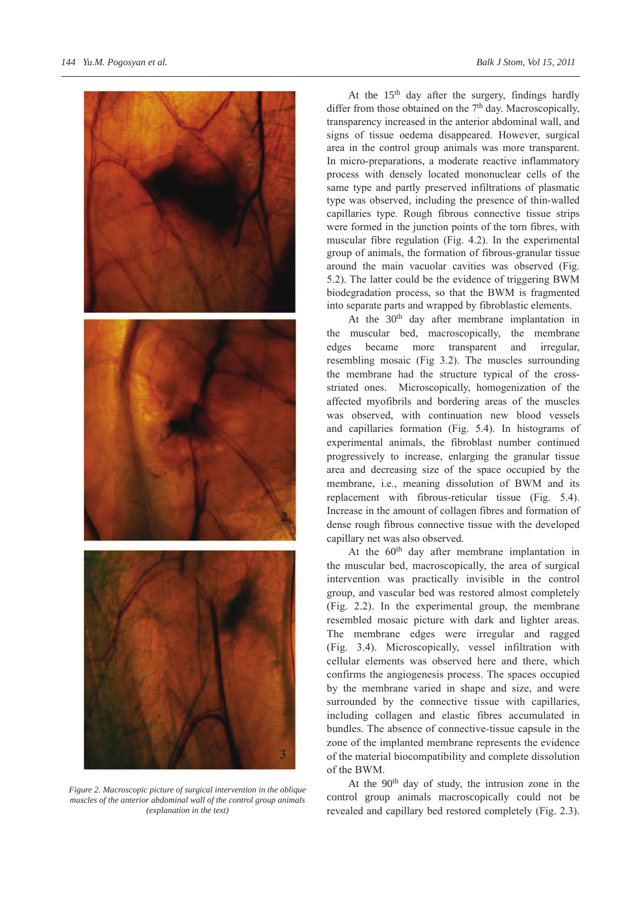

*Figure 2. Macroscopic picture of surgical intervention in the oblique muscles of the anterior abdominal wall of the control group animals (explanation in the text)*

At the 15<sup>th</sup> day after the surgery, findings hardly differ from those obtained on the  $7<sup>th</sup>$  day. Macroscopically, transparency increased in the anterior abdominal wall, and signs of tissue oedema disappeared. However, surgical area in the control group animals was more transparent. In micro-preparations, a moderate reactive inflammatory process with densely located mononuclear cells of the same type and partly preserved infiltrations of plasmatic type was observed, including the presence of thin-walled capillaries type. Rough fibrous connective tissue strips were formed in the junction points of the torn fibres, with muscular fibre regulation (Fig. 4.2). In the experimental group of animals, the formation of fibrous-granular tissue around the main vacuolar cavities was observed (Fig. 5.2). The latter could be the evidence of triggering BWM biodegradation process, so that the BWM is fragmented into separate parts and wrapped by fibroblastic elements.

At the 30<sup>th</sup> day after membrane implantation in the muscular bed, macroscopically, the membrane edges became more transparent and irregular, resembling mosaic (Fig 3.2). The muscles surrounding the membrane had the structure typical of the crossstriated ones. Microscopically, homogenization of the affected myofibrils and bordering areas of the muscles was observed, with continuation new blood vessels and capillaries formation (Fig. 5.4). In histograms of experimental animals, the fibroblast number continued progressively to increase, enlarging the granular tissue area and decreasing size of the space occupied by the membrane, i.e., meaning dissolution of BWM and its replacement with fibrous-reticular tissue (Fig. 5.4). Increase in the amount of collagen fibres and formation of dense rough fibrous connective tissue with the developed capillary net was also observed.

At the 60<sup>th</sup> day after membrane implantation in the muscular bed, macroscopically, the area of surgical intervention was practically invisible in the control group, and vascular bed was restored almost completely (Fig. 2.2). In the experimental group, the membrane resembled mosaic picture with dark and lighter areas. The membrane edges were irregular and ragged (Fig. 3.4). Microscopically, vessel infiltration with cellular elements was observed here and there, which confirms the angiogenesis process. The spaces occupied by the membrane varied in shape and size, and were surrounded by the connective tissue with capillaries, including collagen and elastic fibres accumulated in bundles. The absence of connective-tissue capsule in the zone of the implanted membrane represents the evidence of the material biocompatibility and complete dissolution of the BWM.

At the 90th day of study, the intrusion zone in the control group animals macroscopically could not be revealed and capillary bed restored completely (Fig. 2.3).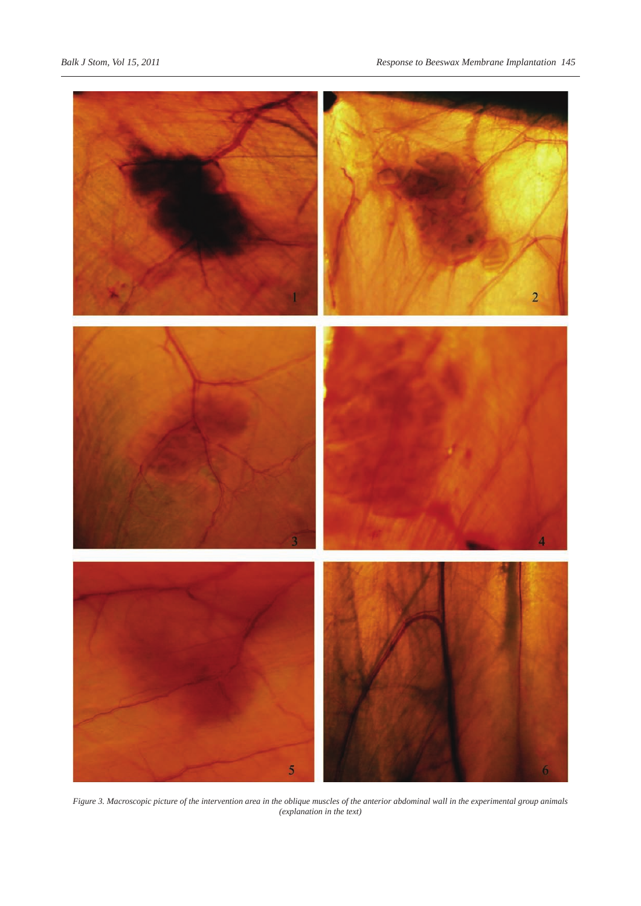

*Figure 3. Macroscopic picture of the intervention area in the oblique muscles of the anterior abdominal wall in the experimental group animals (explanation in the text)*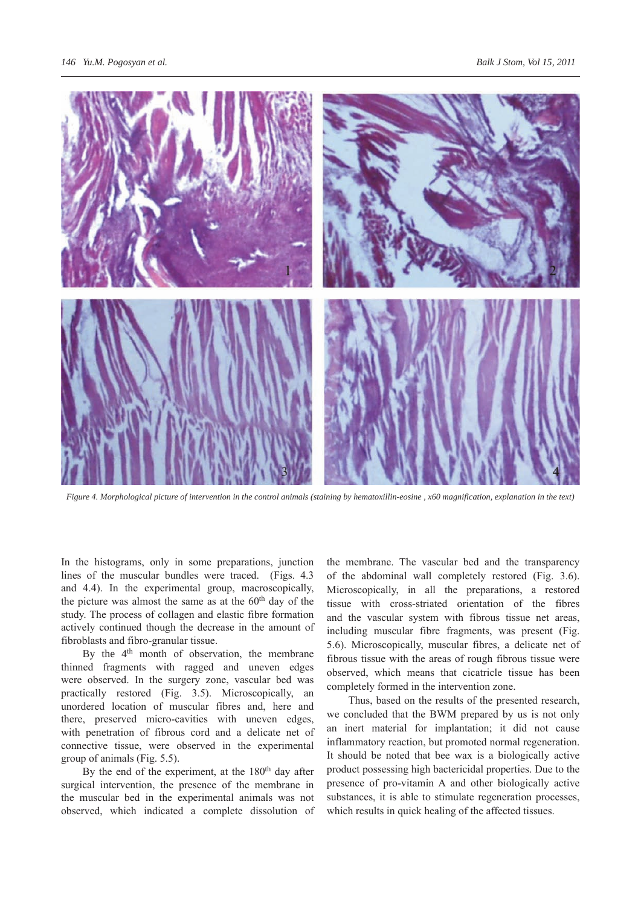

*Figure 4. Morphological picture of intervention in the control animals (staining by hematoxillin-eosine , x60 magnification, explanation in the text)*

In the histograms, only in some preparations, junction lines of the muscular bundles were traced. (Figs. 4.3 and 4.4). In the experimental group, macroscopically, the picture was almost the same as at the 60<sup>th</sup> day of the study. The process of collagen and elastic fibre formation actively continued though the decrease in the amount of fibroblasts and fibro-granular tissue.

By the 4<sup>th</sup> month of observation, the membrane thinned fragments with ragged and uneven edges were observed. In the surgery zone, vascular bed was practically restored (Fig. 3.5). Microscopically, an unordered location of muscular fibres and, here and there, preserved micro-cavities with uneven edges, with penetration of fibrous cord and a delicate net of connective tissue, were observed in the experimental group of animals (Fig. 5.5).

By the end of the experiment, at the  $180<sup>th</sup>$  day after surgical intervention, the presence of the membrane in the muscular bed in the experimental animals was not observed, which indicated a complete dissolution of the membrane. The vascular bed and the transparency of the abdominal wall completely restored (Fig. 3.6). Microscopically, in all the preparations, a restored tissue with cross-striated orientation of the fibres and the vascular system with fibrous tissue net areas, including muscular fibre fragments, was present (Fig. 5.6). Microscopically, muscular fibres, a delicate net of fibrous tissue with the areas of rough fibrous tissue were observed, which means that cicatricle tissue has been completely formed in the intervention zone.

Thus, based on the results of the presented research, we concluded that the BWM prepared by us is not only an inert material for implantation; it did not cause inflammatory reaction, but promoted normal regeneration. It should be noted that bee wax is a biologically active product possessing high bactericidal properties. Due to the presence of pro-vitamin A and other biologically active substances, it is able to stimulate regeneration processes, which results in quick healing of the affected tissues.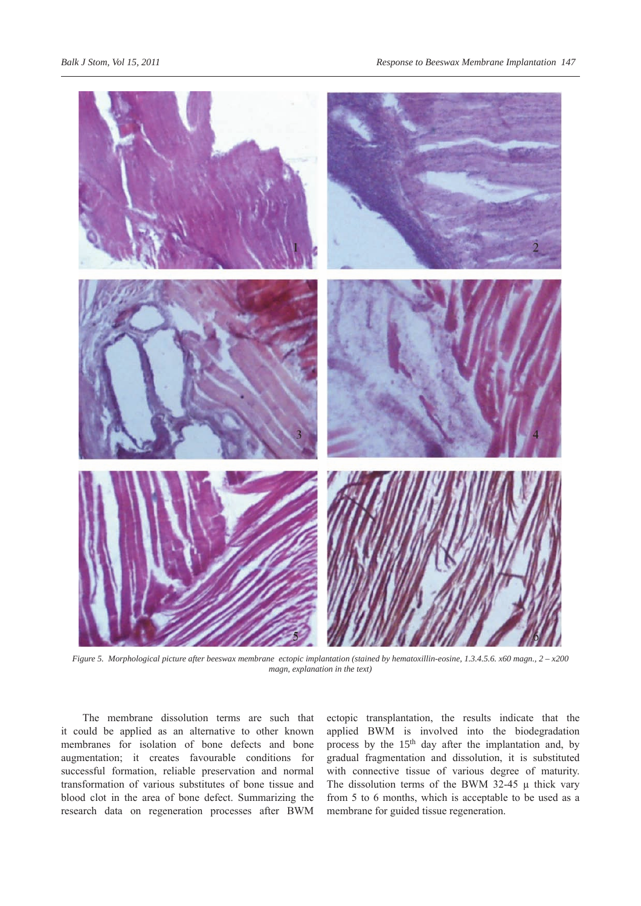

*Figure 5. Morphological picture after beeswax membrane ectopic implantation (stained by hematoxillin-eosine, 1.3.4.5.6. x60 magn., 2 – x200 magn, explanation in the text)*

The membrane dissolution terms are such that it could be applied as an alternative to other known membranes for isolation of bone defects and bone augmentation; it creates favourable conditions for successful formation, reliable preservation and normal transformation of various substitutes of bone tissue and blood clot in the area of bone defect. Summarizing the research data on regeneration processes after BWM

ectopic transplantation, the results indicate that the applied BWM is involved into the biodegradation process by the 15<sup>th</sup> day after the implantation and, by gradual fragmentation and dissolution, it is substituted with connective tissue of various degree of maturity. The dissolution terms of the BWM 32-45  $\mu$  thick vary from 5 to 6 months, which is acceptable to be used as a membrane for guided tissue regeneration.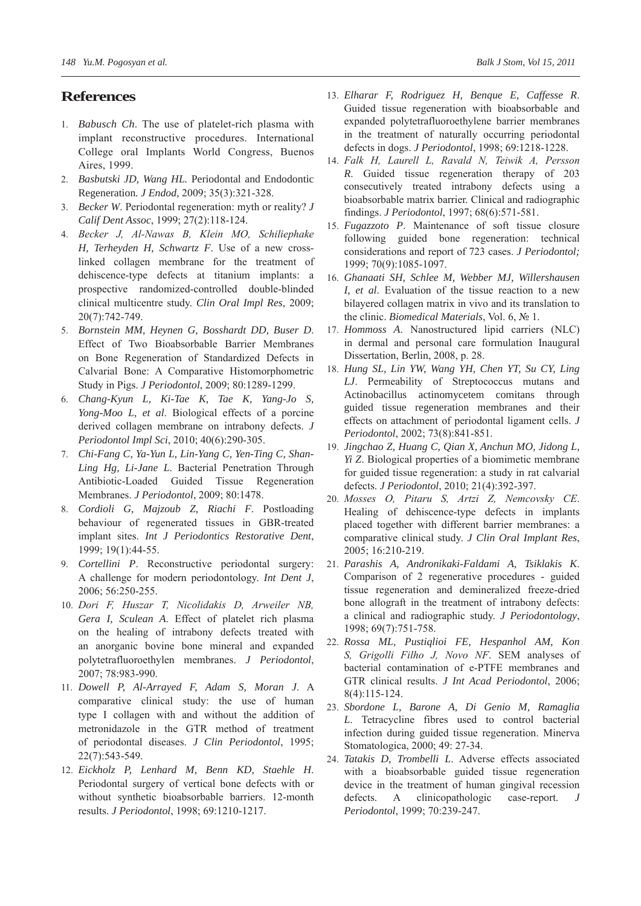## **References**

- 1. *Babusch Ch*. The use of platelet-rich plasma with implant reconstructive procedures. International College oral Implants World Congress, Buenos Aires, 1999.
- 2. *Basbutski JD, Wang HL.* Periodontal and Endodontic Regeneration*. J Endod,* 2009; 35(3):321-328.
- 3. *Becker W*. Periodontal regeneration: myth or reality? *J Calif Dent Assoc*, 1999; 27(2):118-124.
- 4. *Becker J, Al-Nawas B, Klein MO, Schiliephake H, Terheyden H, Schwartz F*. Use of a new crosslinked collagen membrane for the treatment of dehiscence-type defects at titanium implants: a prospective randomized-controlled double-blinded clinical multicentre study. *Clin Oral Impl Res*, 2009; 20(7):742-749.
- 5. *Bornstein MM, Heynen G, Bosshardt DD, Buser D*. Effect of Two Bioabsorbable Barrier Membranes on Bone Regeneration of Standardized Defects in Calvarial Bone: A Comparative Histomorphometric Study in Pigs. *J Periodontol*, 2009; 80:1289-1299.
- 6. *Chang-Kyun L, Ki-Tae K, Tae K, Yang-Jo S, Yong-Moo L, et al*. Biological effects of a porcine derived collagen membrane on intrabony defects. *J Periodontol Impl Sci*, 2010; 40(6):290-305.
- 7. *Chi-Fang C, Ya-Yun L, Lin-Yang C, Yen-Ting C, Shan-Ling Hg, Li-Jane L*. Bacterial Penetration Through Antibiotic-Loaded Guided Tissue Regeneration Membranes. *J Periodontol*, 2009; 80:1478.
- 8. *Cordioli G, Majzoub Z, Riachi F*. Postloading behaviour of regenerated tissues in GBR-treated implant sites. *Int J Periodontics Restorative Dent*, 1999; 19(1):44-55.
- 9. *Cortellini P*. Reconstructive periodontal surgery: A challenge for modern periodontology. *Int Dent J*, 2006; 56:250-255.
- 10. *Dori F, Huszar T, Nicolidakis D, Arweiler NB, Gera I, Sculean A*. Effect of platelet rich plasma on the healing of intrabony defects treated with an anorganic bovine bone mineral and expanded polytetrafluoroethylen membranes. *J Periodontol*, 2007; 78:983-990.
- 11. *Dowell P, Al-Arrayed F, Adam S, Moran J*. A comparative clinical study: the use of human type I collagen with and without the addition of metronidazole in the GTR method of treatment of periodontal diseases. *J Clin Periodontol*, 1995; 22(7):543-549.
- 12. *Eickholz P, Lenhard M, Benn KD, Staehle H*. Periodontal surgery of vertical bone defects with or without synthetic bioabsorbable barriers. 12-month results. *J Periodontol*, 1998; 69:1210-1217.
- 13. *Elharar F, Rodriguez H, Benque E, Caffesse R*. Guided tissue regeneration with bioabsorbable and expanded polytetrafluoroethylene barrier membranes in the treatment of naturally occurring periodontal defects in dogs. *J Periodontol*, 1998; 69:1218-1228.
- 14. *Falk H, Laurell L, Ravald N, Teiwik A, Persson R*. Guided tissue regeneration therapy of 203 consecutively treated intrabony defects using a bioabsorbable matrix barrier. Clinical and radiographic findings. *J Periodontol*, 1997; 68(6):571-581.
- 15. *Fugazzoto P*. Maintenance of soft tissue closure following guided bone regeneration: technical considerations and report of 723 cases. *J Periodontol;* 1999; 70(9):1085-1097.
- 16. *Ghanaati SH, Schlee M, Webber MJ, Willershausen I, et al*. Evaluation of the tissue reaction to a new bilayered collagen matrix in vivo and its translation to the clinic. *Biomedical Materials*, Vol. 6, № 1.
- 17. *Hommoss A*. Nanostructured lipid carriers (NLC) in dermal and personal care formulation Inaugural Dissertation, Berlin, 2008, p. 28.
- 18. *Hung SL, Lin YW, Wang YH, Chen YT, Su CY, Ling LJ*. Permeability of Streptococcus mutans and Actinobacillus actinomycetem comitans through guided tissue regeneration membranes and their effects on attachment of periodontal ligament cells. *J Periodontol*, 2002; 73(8):841-851.
- 19. *Jingchao Z, Huang C, Qian X, Anchun MO, Jidong L, Yi Z*. Biological properties of a biomimetic membrane for guided tissue regeneration: a study in rat calvarial defects. *J Periodontol*, 2010; 21(4):392-397.
- 20. *Mosses O, Pitaru S, Artzi Z, Nemcovsky CE*. Healing of dehiscence-type defects in implants placed together with different barrier membranes: a comparative clinical study. *J Clin Oral Implant Res*, 2005; 16:210-219.
- 21. *Parashis A, Andronikaki-Faldami A, Tsiklakis K*. Comparison of 2 regenerative procedures - guided tissue regeneration and demineralized freeze-dried bone allograft in the treatment of intrabony defects: a clinical and radiographic study. *J Periodontology*, 1998; 69(7):751-758.
- 22. *Rossa ML, Pustiqlioi FE, Hespanhol AM, Kon S, Grigolli Filho J, Novo NF*. SEM analyses of bacterial contamination of e-PTFE membranes and GTR clinical results. *J Int Acad Periodontol*, 2006; 8(4):115-124.
- 23. *Sbordone L, Barone A, Di Genio M, Ramaglia L*. Tetracycline fibres used to control bacterial infection during guided tissue regeneration. Minerva Stomatologica, 2000; 49: 27-34.
- 24. *Tatakis D, Trombelli L*. Adverse effects associated with a bioabsorbable guided tissue regeneration device in the treatment of human gingival recession defects. A clinicopathologic case-report. *J Periodontol*, 1999; 70:239-247.